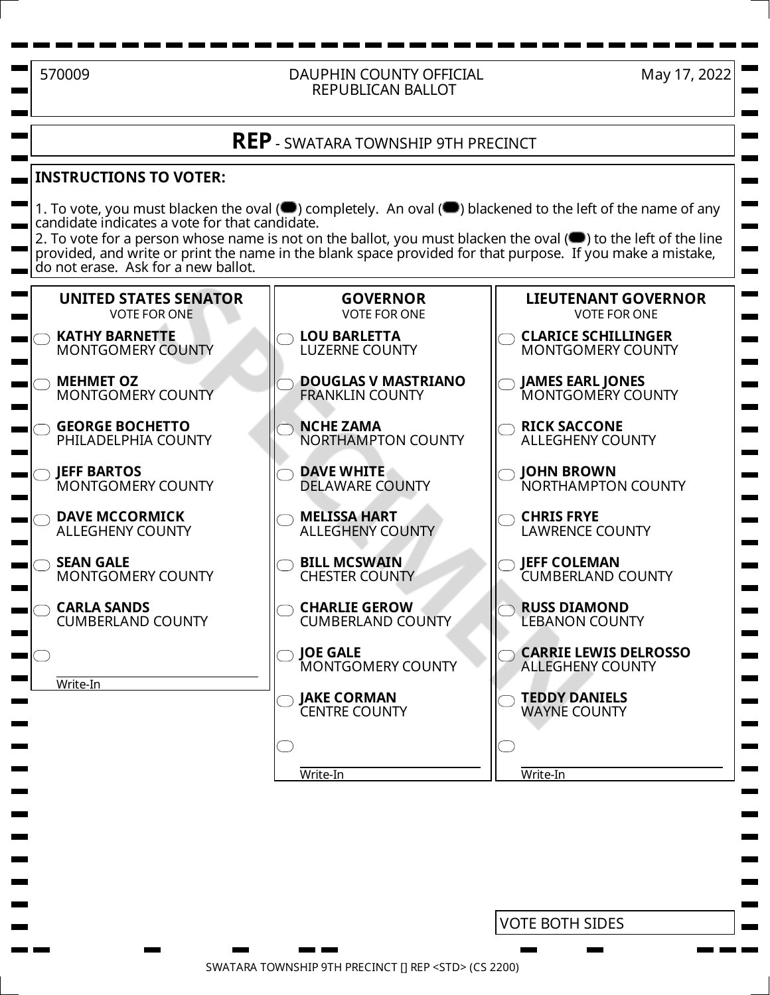## 570009 DAUPHIN COUNTY OFFICIAL REPUBLICAN BALLOT

## **REP**- SWATARA TOWNSHIP 9TH PRECINCT

## **INSTRUCTIONS TO VOTER:**

1. To vote, you must blacken the oval (O) completely. An oval (O) blackened to the left of the name of any candidate indicates a vote for that candidate.

2. To vote for a person whose name is not on the ballot, you must blacken the oval  $($ **)** to the left of the line provided, and write or print the name in the blank space provided for that purpose. If you make a mistake, do not erase. Ask for a new ballot.